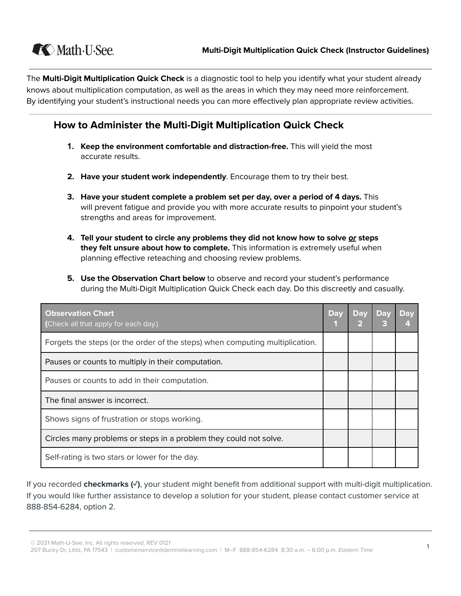

The **Multi-Digit Multiplication Quick Check** is a diagnostic tool to help you identify what your student already knows about multiplication computation, as well as the areas in which they may need more reinforcement. By identifying your student's instructional needs you can more effectively plan appropriate review activities.

### **How to Administer the Multi-Digit Multiplication Quick Check**

- **1. Keep the environment comfortable and distraction-free. This will yield the most** accurate results.
- **2. Have your student work independently.** Encourage them to try their best.
- **3.** Have your student complete a problem set per day, over a period of 4 days. This will prevent fatigue and provide you with more accurate results to pinpoint your student's strengths and areas for improvement.
- **4.** Tell your student to circle any problems they did not know how to solve or steps **they felt unsure about how to complete.** This information is extremely useful when planning effective reteaching and choosing review problems.
- **5.** Use the Observation Chart below to observe and record your student's performance during the Multi-Digit Multiplication Quick Check each day. Do this discreetly and casually.

| <b>Observation Chart</b><br>(Check all that apply for each day.)             | <b>Day</b> | <b>Day</b> | <b>Day</b> | <b>Day</b> |
|------------------------------------------------------------------------------|------------|------------|------------|------------|
| Forgets the steps (or the order of the steps) when computing multiplication. |            |            |            |            |
| Pauses or counts to multiply in their computation.                           |            |            |            |            |
| Pauses or counts to add in their computation.                                |            |            |            |            |
| The final answer is incorrect.                                               |            |            |            |            |
| Shows signs of frustration or stops working.                                 |            |            |            |            |
| Circles many problems or steps in a problem they could not solve.            |            |            |            |            |
| Self-rating is two stars or lower for the day.                               |            |            |            |            |

If you recorded **checkmarks** ( $\checkmark$ ), your student might benefit from additional support with multi-digit multiplication. If you would like further assistance to develop a solution for your student, please contact customer service at 888-854-6284, option 2.

© 2021 Math-U-See, Inc. All rights reserved. REV 0121

e 2021 Math-O-See, fild. An hynts reserved. KLV Or21<br>207 Bucky Dr, Lititz, PA 17543 | customerservice@demmelearning.com | M–F 888-854-6284 8:30 a.m. – 6:00 p.m. *Eastern Time* 1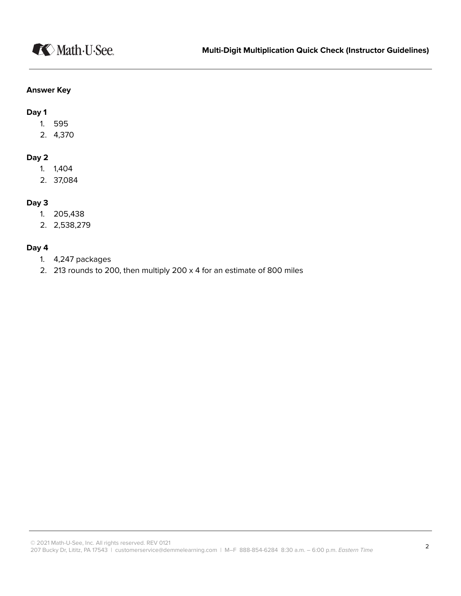#### **Answer Key**

**Dac 1**

- 1. 595
- 2. 4,370

#### **Day 2**

- 1. 1,404
- 2. 37,084

#### **Dac 3**

- 1. 205,438
- 2. 2,538,279

#### **Dac 4**

- 1. 4,247 packages
- 2. 213 rounds to 200, then multiply 200 x 4 for an estimate of 800 miles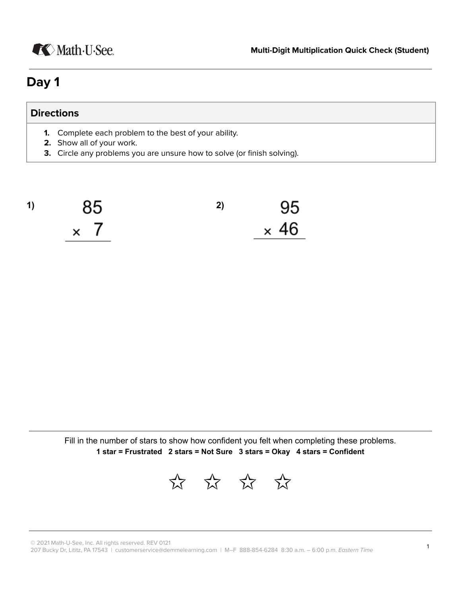# **K** Math U See.

## **Day 1**

### **Directions**

- **1.** Complete each problem to the best of your ability.
- **2.** Show all of your work.
- **3.** Circle any problems you are unsure how to solve (or finish solving).

**1) 2)** 95  $\times$  46  $\times$  7

Fill in the number of stars to show how confident you felt when completing these problems. **1 star** = **Frustrated** 2 **stars** = Not Sure 3 **stars** = Okay 4 **stars** = Confident

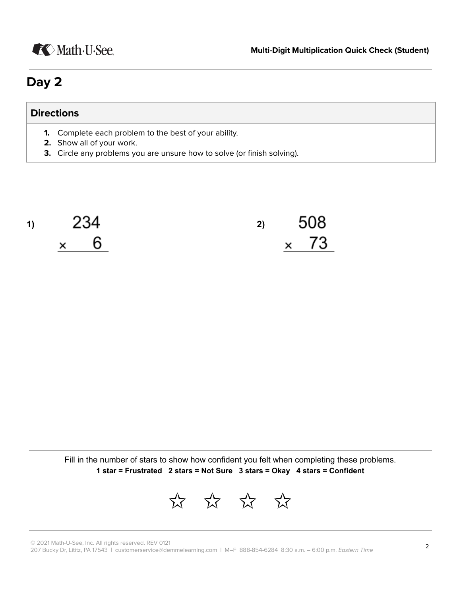

## **Day 2**

### **Directions**

- **1.** Complete each problem to the best of your ability.
- **2.** Show all of your work.
- **3.** Circle any problems you are unsure how to solve (or finish solving).



Fill in the number of stars to show how confident you felt when completing these problems. **1 star = Frustrated 2 stars = Not Sure 3 stars = Okay 4 stars = Confident** 

✩✩✩✩

 $\oslash$  2021 Math-U-See, Inc. All rights reserved. REV 0121

© 2021 Matri-0-See, fild. An rights reserved. REV OT21<br>207 Bucky Dr, Lititz, PA 17543 ∣customerservice@demmelearning.com ∣ M–F 888-854-6284 8:30 a.m. – 6:00 p.m. *Eastern Time* 2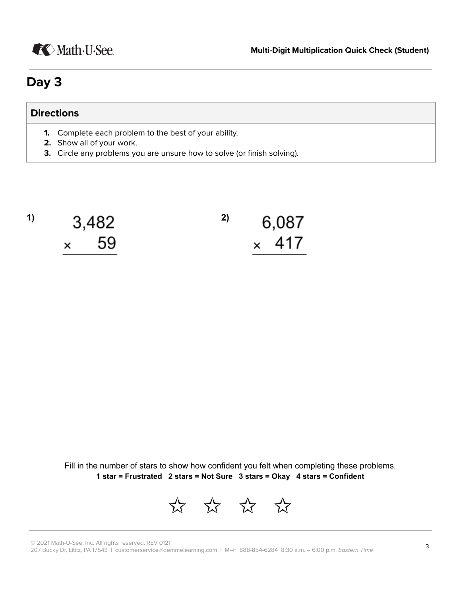

## **Dac 3**

### **Directions**

- **1.** Complete each problem to the best of your ability.
- **2.** Show all of your work.
- **3.** Circle any problems you are unsure how to solve (or finish solving).

| $\vert$ | 3,482       | 2) | 6,087 |              |  |  |
|---------|-------------|----|-------|--------------|--|--|
|         | $\times$ 59 |    |       | $\times$ 417 |  |  |

Fill in the number of stars to show how confident you felt when completing these problems. **1 star** = **Frustrated** 2 **stars** = Not Sure 3 **stars** = Okay 4 **stars** = Confident